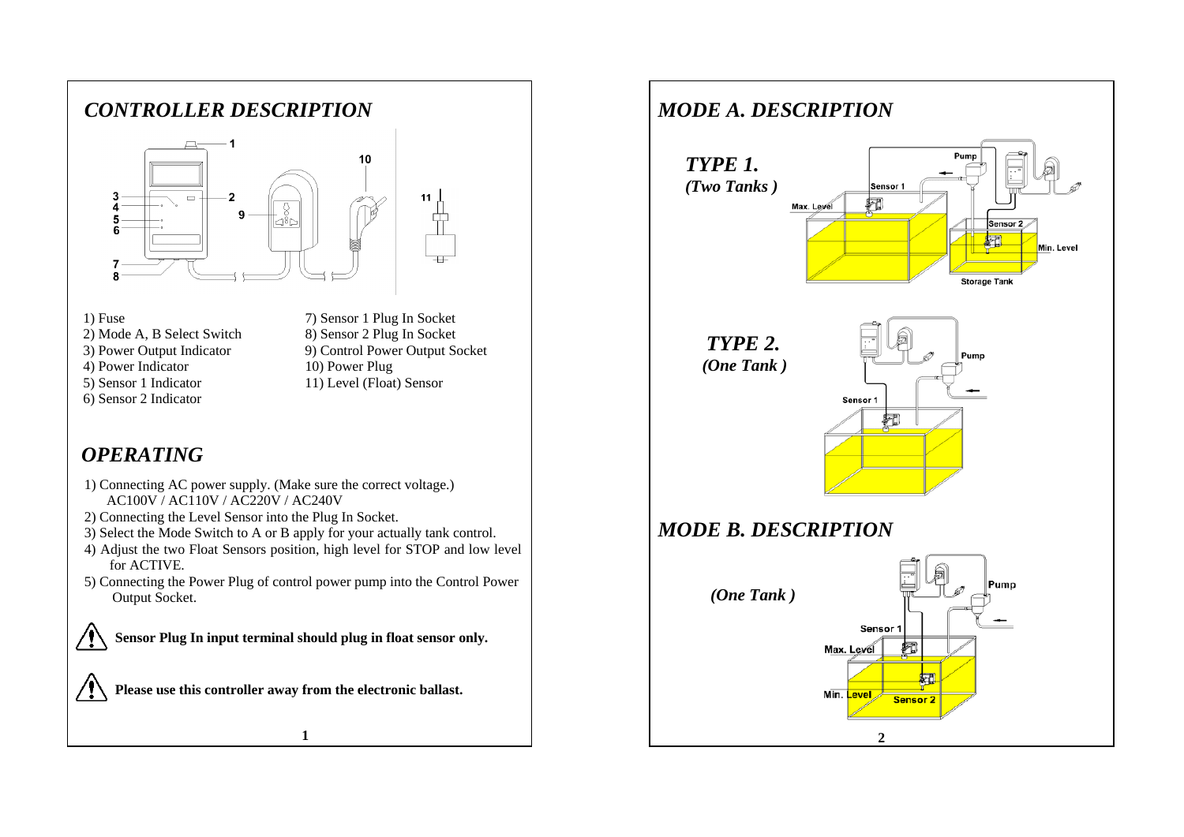

- 1) Fuse 7) Sensor 1 Plug In Socket 2) Mode A, B Select Switch 8) Sensor 2 Plug In Socket
- 3) Power Output Indicator 9) Control Power Output Socket
- 4) Power Indicator 10) Power Plug
- 5) Sensor 1 Indicator 11) Level (Float) Sensor
- 6) Sensor 2 Indicator

## *OPERATING*

- 1) Connecting AC power supply. (Make sure the correct voltage.) AC100V / AC110V / AC220V / AC240V
- 2) Connecting the Level Sensor into the Plug In Socket.
- 3) Select the Mode Switch to A or B apply for your actually tank control.
- 4) Adjust the two Float Sensors position, high level for STOP and low level for ACTIVE.
- 5) Connecting the Power Plug of control power pump into the Control Power Output Socket.



**Sensor Plug In input terminal should plug in float sensor only.**

**1**

**Please use this controller away from the electronic ballast.**